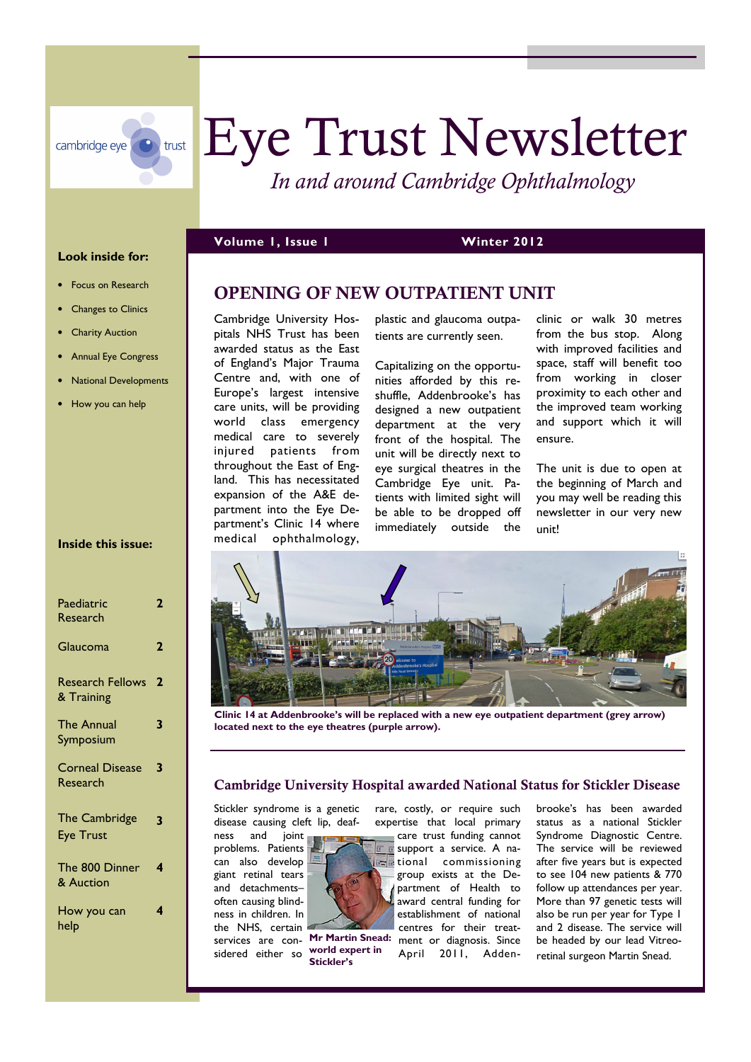

# Eye Trust Newsletter

*In and around Cambridge Ophthalmology* 

#### **Volume 1, Issue 1 Winter 2012**

#### **OPENING OF NEW OUTPATIENT UNIT**

Cambridge University Hospitals NHS Trust has been awarded status as the East of England's Major Trauma Centre and, with one of Europe's largest intensive care units, will be providing world class emergency medical care to severely injured patients from throughout the East of England. This has necessitated expansion of the A&E department into the Eye Department's Clinic 14 where medical ophthalmology,

plastic and glaucoma outpatients are currently seen.

Capitalizing on the opportunities afforded by this reshuffle, Addenbrooke's has designed a new outpatient department at the very front of the hospital. The unit will be directly next to eye surgical theatres in the Cambridge Eye unit. Patients with limited sight will be able to be dropped off immediately outside the clinic or walk 30 metres from the bus stop. Along with improved facilities and space, staff will benefit too from working in closer proximity to each other and the improved team working and support which it will ensure.

The unit is due to open at the beginning of March and you may well be reading this newsletter in our very new unit!



**Clinic 14 at Addenbrooke's will be replaced with a new eye outpatient department (grey arrow) located next to the eye theatres (purple arrow).** 

## **Cambridge University Hospital awarded National Status for Stickler Disease**  rare, costly, or require such

Stickler syndrome is a genetic disease causing cleft lip, deaf-

ness and joint problems. Patients can also develop giant retinal tears and detachments– often causing blindness in children. In the NHS, certain

sidered either so



**world expert in Stickler's** 

expertise that local primary care trust funding cannot support a service. A na**tional** commissioning

services are con- Mr Martin Snead: ment or diagnosis. Since group exists at the Department of Health to award central funding for establishment of national centres for their treat-April 2011, Addenbrooke's has been awarded status as a national Stickler Syndrome Diagnostic Centre. The service will be reviewed after five years but is expected to see 104 new patients & 770 follow up attendances per year. More than 97 genetic tests will also be run per year for Type 1 and 2 disease. The service will be headed by our lead Vitreoretinal surgeon Martin Snead.

# • Focus on Research

**Look inside for:** 

- Changes to Clinics
- **Charity Auction**
- Annual Eye Congress
- National Developments
- How you can help

#### **Inside this issue:**

| Paediatric<br>Research                   | 2            |
|------------------------------------------|--------------|
| Glaucoma                                 | $\mathbf{2}$ |
| <b>Research Fellows</b><br>& Training    | 2            |
| The Annual<br>Symposium                  | 3            |
| <b>Corneal Disease</b><br>Research       | 3            |
| <b>The Cambridge</b><br><b>Eye Trust</b> | 3            |
| The 800 Dinner<br>& Auction              | 4            |
| How you can<br>help                      |              |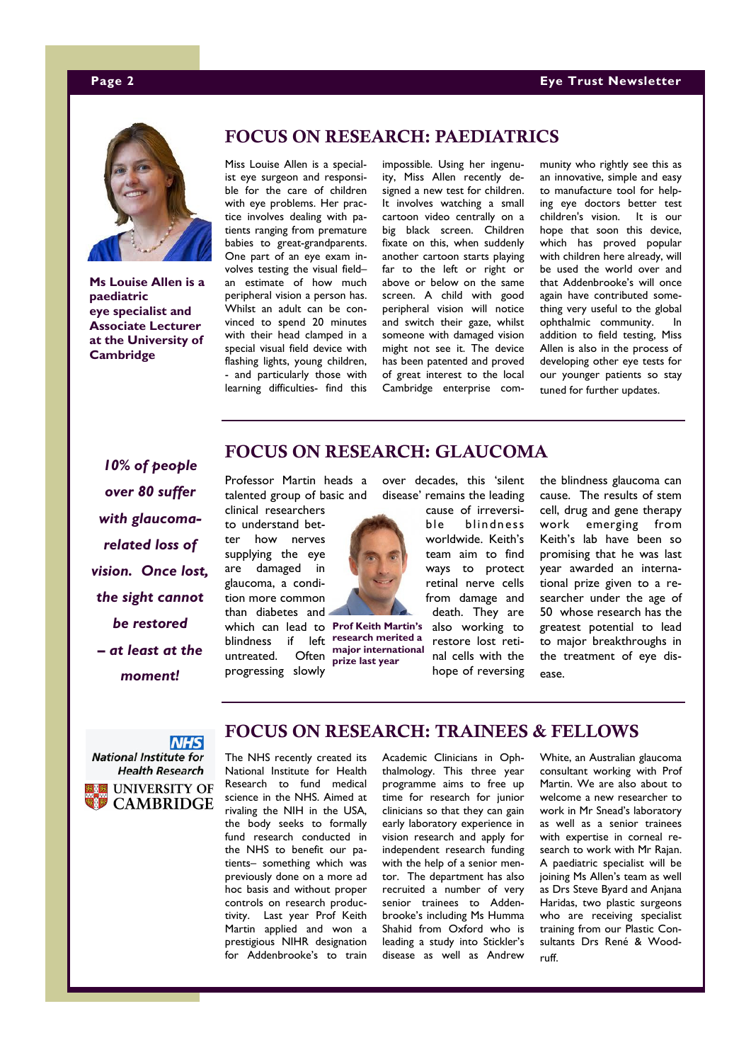#### **Page 2 Eye Trust Newsletter**



**Ms Louise Allen is a paediatric eye specialist and Associate Lecturer at the University of Cambridge** 

#### **FOCUS ON RESEARCH: PAEDIATRICS**

Miss Louise Allen is a specialist eye surgeon and responsible for the care of children with eye problems. Her practice involves dealing with patients ranging from premature babies to great-grandparents. One part of an eye exam involves testing the visual field– an estimate of how much peripheral vision a person has. Whilst an adult can be convinced to spend 20 minutes with their head clamped in a special visual field device with flashing lights, young children, - and particularly those with learning difficulties- find this

impossible. Using her ingenuity, Miss Allen recently designed a new test for children. It involves watching a small cartoon video centrally on a big black screen. Children fixate on this, when suddenly another cartoon starts playing far to the left or right or above or below on the same screen. A child with good peripheral vision will notice and switch their gaze, whilst someone with damaged vision might not see it. The device has been patented and proved of great interest to the local Cambridge enterprise community who rightly see this as an innovative, simple and easy to manufacture tool for helping eye doctors better test children's vision. It is our hope that soon this device, which has proved popular with children here already, will be used the world over and that Addenbrooke's will once again have contributed something very useful to the global ophthalmic community. In addition to field testing, Miss Allen is also in the process of developing other eye tests for our younger patients so stay tuned for further updates.

the blindness glaucoma can cause. The results of stem cell, drug and gene therapy work emerging from Keith's lab have been so

*10% of people over 80 suffer with glaucomarelated loss of vision. Once lost, the sight cannot be restored – at least at the moment!* 

#### **FOCUS ON RESEARCH: GLAUCOMA**

Professor Martin heads a talented group of basic and

clinical researchers to understand better how nerves supplying the eye are damaged in glaucoma, a condition more common than diabetes and which can lead to **Prof Keith Martin's**  blindness if left **research merited a** 

untreated. Often **major international**  progressing slowly **prize last year** 

over decades, this 'silent disease' remains the leading

> cause of irreversible blindness worldwide. Keith's team aim to find ways to protect retinal nerve cells from damage and death. They are also working to restore lost reti-

nal cells with the hope of reversing promising that he was last year awarded an international prize given to a researcher under the age of 50 whose research has the greatest potential to lead to major breakthroughs in the treatment of eye disease.



**CAMBRIDGE** 

### **FOCUS ON RESEARCH: TRAINEES & FELLOWS**

The NHS recently created its National Institute for Health Research to fund medical science in the NHS. Aimed at rivaling the NIH in the USA, the body seeks to formally fund research conducted in the NHS to benefit our patients– something which was previously done on a more ad hoc basis and without proper controls on research productivity. Last year Prof Keith Martin applied and won a prestigious NIHR designation for Addenbrooke's to train

Academic Clinicians in Ophthalmology. This three year programme aims to free up time for research for junior clinicians so that they can gain early laboratory experience in vision research and apply for independent research funding with the help of a senior mentor. The department has also recruited a number of very senior trainees to Addenbrooke's including Ms Humma Shahid from Oxford who is leading a study into Stickler's disease as well as Andrew

White, an Australian glaucoma consultant working with Prof Martin. We are also about to welcome a new researcher to work in Mr Snead's laboratory as well as a senior trainees with expertise in corneal research to work with Mr Rajan. A paediatric specialist will be joining Ms Allen's team as well as Drs Steve Byard and Anjana Haridas, two plastic surgeons who are receiving specialist training from our Plastic Consultants Drs René & Woodruff.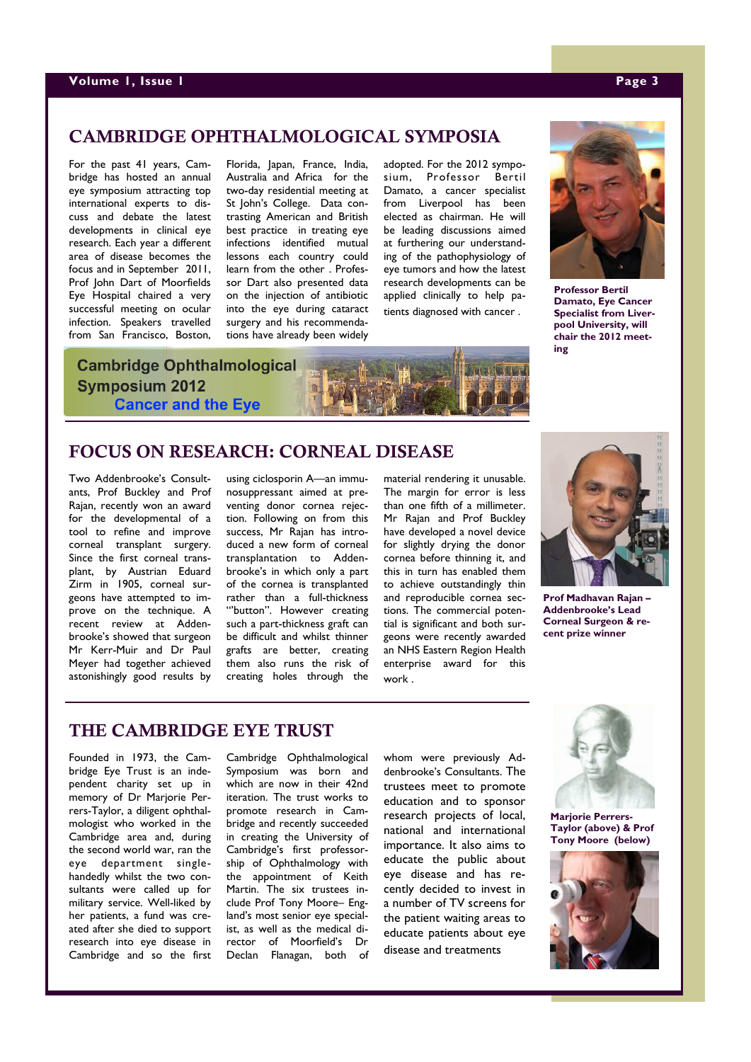#### **CAMBRIDGE OPHTHALMOLOGICAL SYMPOSIA**

For the past 41 years, Cambridge has hosted an annual eye symposium attracting top international experts to discuss and debate the latest developments in clinical eye research. Each year a different area of disease becomes the focus and in September 2011, Prof John Dart of Moorfields Eye Hospital chaired a very successful meeting on ocular infection. Speakers travelled from San Francisco, Boston,

Florida, Japan, France, India, Australia and Africa for the two-day residential meeting at St John's College. Data contrasting American and British best practice in treating eye infections identified mutual lessons each country could learn from the other . Professor Dart also presented data on the injection of antibiotic into the eye during cataract surgery and his recommendations have already been widely

adopted. For the 2012 symposium, Professor Bertil Damato, a cancer specialist from Liverpool has been elected as chairman. He will be leading discussions aimed at furthering our understanding of the pathophysiology of eye tumors and how the latest research developments can be applied clinically to help patients diagnosed with cancer .



**Professor Bertil Damato, Eye Cancer Specialist from Liverpool University, will chair the 2012 meeting** 

# **Cambridge Ophthalmological Symposium 2012 Cancer and the Eye**

#### **FOCUS ON RESEARCH: CORNEAL DISEASE**

Two Addenbrooke's Consultants, Prof Buckley and Prof Rajan, recently won an award for the developmental of a tool to refine and improve corneal transplant surgery. Since the first corneal transplant, by Austrian Eduard Zirm in 1905, corneal surgeons have attempted to improve on the technique. A recent review at Addenbrooke's showed that surgeon Mr Kerr-Muir and Dr Paul Meyer had together achieved astonishingly good results by

using ciclosporin A—an immunosuppressant aimed at preventing donor cornea rejection. Following on from this success, Mr Rajan has introduced a new form of corneal transplantation to Addenbrooke's in which only a part of the cornea is transplanted rather than a full-thickness "button". However creating such a part-thickness graft can be difficult and whilst thinner grafts are better, creating them also runs the risk of creating holes through the

material rendering it unusable. The margin for error is less than one fifth of a millimeter. Mr Rajan and Prof Buckley have developed a novel device for slightly drying the donor cornea before thinning it, and this in turn has enabled them to achieve outstandingly thin and reproducible cornea sections. The commercial potential is significant and both surgeons were recently awarded an NHS Eastern Region Health enterprise award for this work .



**Prof Madhavan Rajan – Addenbrooke's Lead Corneal Surgeon & recent prize winner** 

## **THE CAMBRIDGE EYE TRUST**

Founded in 1973, the Cambridge Eye Trust is an independent charity set up in memory of Dr Marjorie Perrers-Taylor, a diligent ophthalmologist who worked in the Cambridge area and, during the second world war, ran the eye department singlehandedly whilst the two consultants were called up for military service. Well-liked by her patients, a fund was created after she died to support research into eye disease in Cambridge and so the first

Cambridge Ophthalmological Symposium was born and which are now in their 42nd iteration. The trust works to promote research in Cambridge and recently succeeded in creating the University of Cambridge's first professorship of Ophthalmology with the appointment of Keith Martin. The six trustees include Prof Tony Moore– England's most senior eye specialist, as well as the medical director of Moorfield's Dr Declan Flanagan, both of whom were previously Addenbrooke's Consultants. The trustees meet to promote education and to sponsor research projects of local, national and international importance. It also aims to educate the public about eye disease and has recently decided to invest in a number of TV screens for the patient waiting areas to educate patients about eye disease and treatments



**Marjorie Perrers-Taylor (above) & Prof Tony Moore (below)**